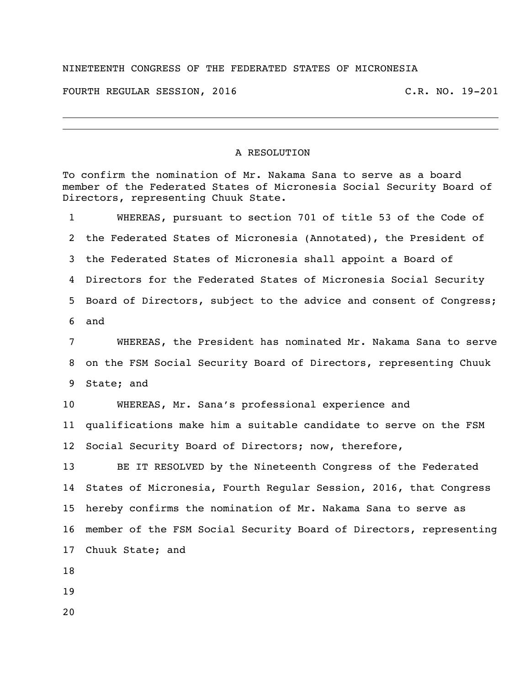## NINETEENTH CONGRESS OF THE FEDERATED STATES OF MICRONESIA

FOURTH REGULAR SESSION, 2016 C.R. NO. 19-201

## A RESOLUTION

To confirm the nomination of Mr. Nakama Sana to serve as a board member of the Federated States of Micronesia Social Security Board of Directors, representing Chuuk State.

 WHEREAS, pursuant to section 701 of title 53 of the Code of the Federated States of Micronesia (Annotated), the President of the Federated States of Micronesia shall appoint a Board of Directors for the Federated States of Micronesia Social Security Board of Directors, subject to the advice and consent of Congress; and

 WHEREAS, the President has nominated Mr. Nakama Sana to serve on the FSM Social Security Board of Directors, representing Chuuk State; and

 WHEREAS, Mr. Sana's professional experience and qualifications make him a suitable candidate to serve on the FSM Social Security Board of Directors; now, therefore,

 BE IT RESOLVED by the Nineteenth Congress of the Federated States of Micronesia, Fourth Regular Session, 2016, that Congress hereby confirms the nomination of Mr. Nakama Sana to serve as member of the FSM Social Security Board of Directors, representing Chuuk State; and